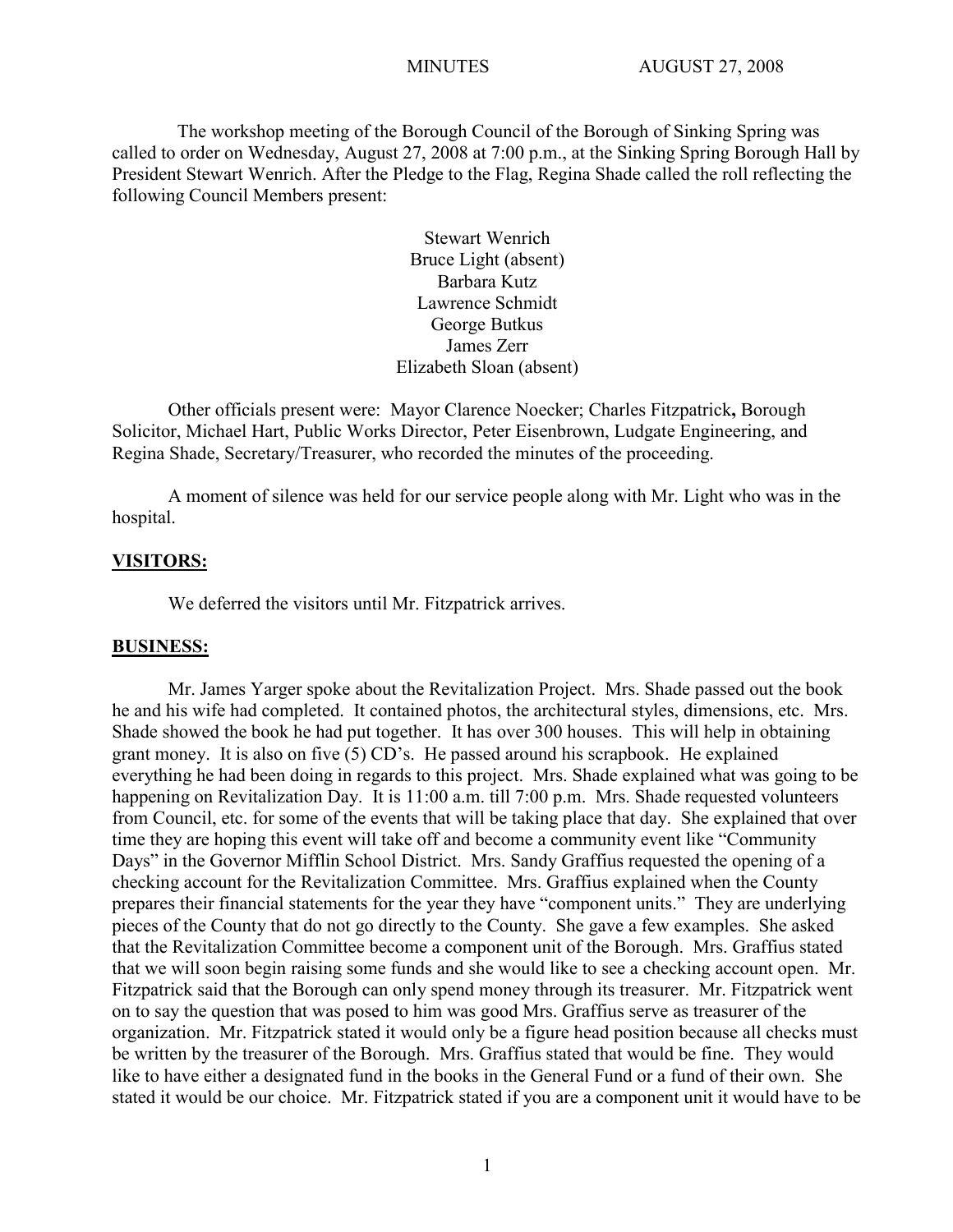The workshop meeting of the Borough Council of the Borough of Sinking Spring was called to order on Wednesday, August 27, 2008 at 7:00 p.m., at the Sinking Spring Borough Hall by President Stewart Wenrich. After the Pledge to the Flag, Regina Shade called the roll reflecting the following Council Members present:

> Stewart Wenrich Bruce Light (absent) Barbara Kutz Lawrence Schmidt George Butkus James Zerr Elizabeth Sloan (absent)

Other officials present were: Mayor Clarence Noecker; Charles Fitzpatrick**,** Borough Solicitor, Michael Hart, Public Works Director, Peter Eisenbrown, Ludgate Engineering, and Regina Shade, Secretary/Treasurer, who recorded the minutes of the proceeding.

A moment of silence was held for our service people along with Mr. Light who was in the hospital.

#### **VISITORS:**

We deferred the visitors until Mr. Fitzpatrick arrives.

### **BUSINESS:**

Mr. James Yarger spoke about the Revitalization Project. Mrs. Shade passed out the book he and his wife had completed. It contained photos, the architectural styles, dimensions, etc. Mrs. Shade showed the book he had put together. It has over 300 houses. This will help in obtaining grant money. It is also on five (5) CD's. He passed around his scrapbook. He explained everything he had been doing in regards to this project. Mrs. Shade explained what was going to be happening on Revitalization Day. It is 11:00 a.m. till 7:00 p.m. Mrs. Shade requested volunteers from Council, etc. for some of the events that will be taking place that day. She explained that over time they are hoping this event will take off and become a community event like "Community Days" in the Governor Mifflin School District. Mrs. Sandy Graffius requested the opening of a checking account for the Revitalization Committee. Mrs. Graffius explained when the County prepares their financial statements for the year they have "component units." They are underlying pieces of the County that do not go directly to the County. She gave a few examples. She asked that the Revitalization Committee become a component unit of the Borough. Mrs. Graffius stated that we will soon begin raising some funds and she would like to see a checking account open. Mr. Fitzpatrick said that the Borough can only spend money through its treasurer. Mr. Fitzpatrick went on to say the question that was posed to him was good Mrs. Graffius serve as treasurer of the organization. Mr. Fitzpatrick stated it would only be a figure head position because all checks must be written by the treasurer of the Borough. Mrs. Graffius stated that would be fine. They would like to have either a designated fund in the books in the General Fund or a fund of their own. She stated it would be our choice. Mr. Fitzpatrick stated if you are a component unit it would have to be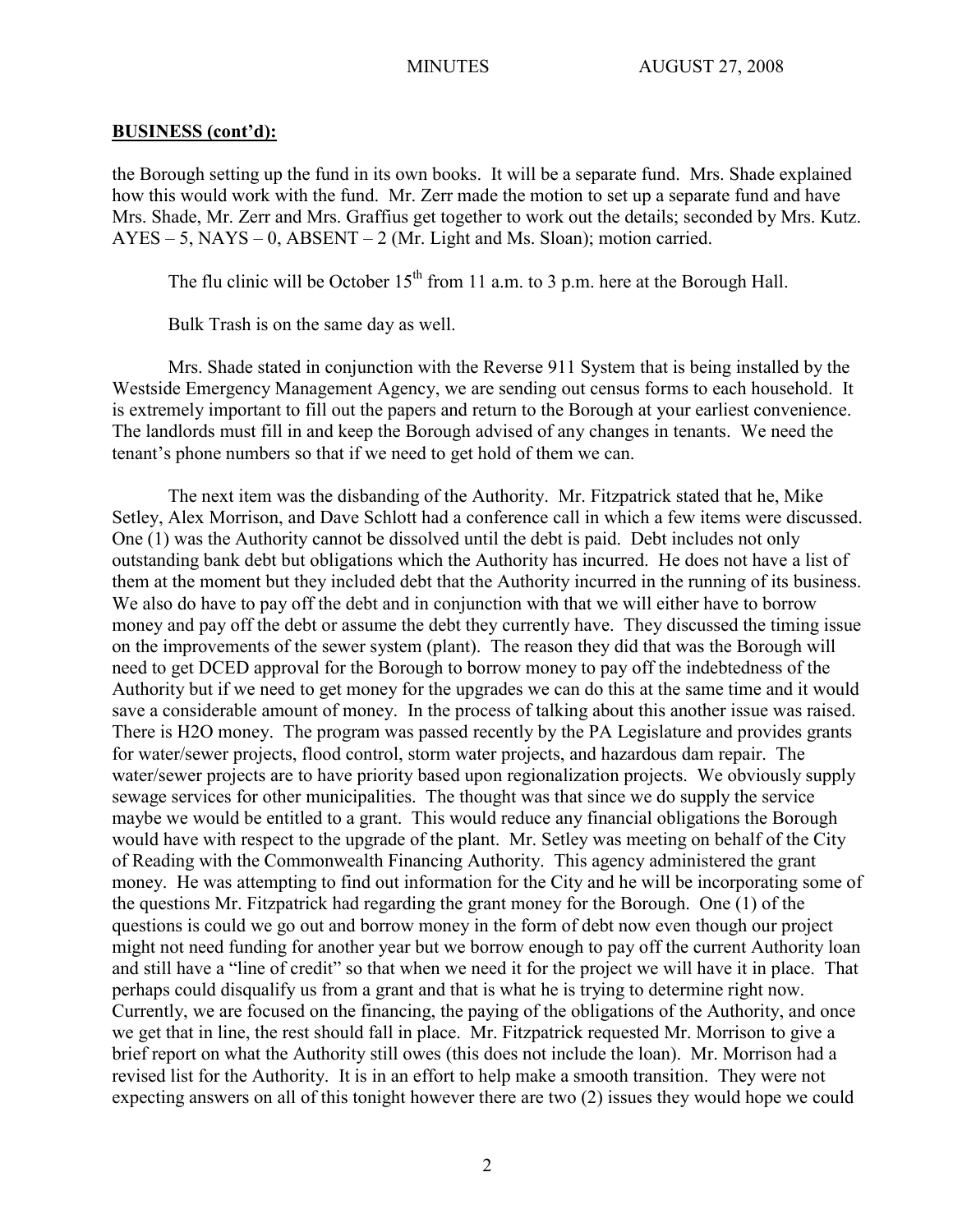the Borough setting up the fund in its own books. It will be a separate fund. Mrs. Shade explained how this would work with the fund. Mr. Zerr made the motion to set up a separate fund and have Mrs. Shade, Mr. Zerr and Mrs. Graffius get together to work out the details; seconded by Mrs. Kutz.  $AYES - 5$ ,  $NAYS - 0$ ,  $ABSENT - 2$  (Mr. Light and Ms. Sloan); motion carried.

The flu clinic will be October  $15<sup>th</sup>$  from 11 a.m. to 3 p.m. here at the Borough Hall.

Bulk Trash is on the same day as well.

Mrs. Shade stated in conjunction with the Reverse 911 System that is being installed by the Westside Emergency Management Agency, we are sending out census forms to each household. It is extremely important to fill out the papers and return to the Borough at your earliest convenience. The landlords must fill in and keep the Borough advised of any changes in tenants. We need the tenant's phone numbers so that if we need to get hold of them we can.

The next item was the disbanding of the Authority. Mr. Fitzpatrick stated that he, Mike Setley, Alex Morrison, and Dave Schlott had a conference call in which a few items were discussed. One (1) was the Authority cannot be dissolved until the debt is paid. Debt includes not only outstanding bank debt but obligations which the Authority has incurred. He does not have a list of them at the moment but they included debt that the Authority incurred in the running of its business. We also do have to pay off the debt and in conjunction with that we will either have to borrow money and pay off the debt or assume the debt they currently have. They discussed the timing issue on the improvements of the sewer system (plant). The reason they did that was the Borough will need to get DCED approval for the Borough to borrow money to pay off the indebtedness of the Authority but if we need to get money for the upgrades we can do this at the same time and it would save a considerable amount of money. In the process of talking about this another issue was raised. There is H2O money. The program was passed recently by the PA Legislature and provides grants for water/sewer projects, flood control, storm water projects, and hazardous dam repair. The water/sewer projects are to have priority based upon regionalization projects. We obviously supply sewage services for other municipalities. The thought was that since we do supply the service maybe we would be entitled to a grant. This would reduce any financial obligations the Borough would have with respect to the upgrade of the plant. Mr. Setley was meeting on behalf of the City of Reading with the Commonwealth Financing Authority. This agency administered the grant money. He was attempting to find out information for the City and he will be incorporating some of the questions Mr. Fitzpatrick had regarding the grant money for the Borough. One (1) of the questions is could we go out and borrow money in the form of debt now even though our project might not need funding for another year but we borrow enough to pay off the current Authority loan and still have a "line of credit" so that when we need it for the project we will have it in place. That perhaps could disqualify us from a grant and that is what he is trying to determine right now. Currently, we are focused on the financing, the paying of the obligations of the Authority, and once we get that in line, the rest should fall in place. Mr. Fitzpatrick requested Mr. Morrison to give a brief report on what the Authority still owes (this does not include the loan). Mr. Morrison had a revised list for the Authority. It is in an effort to help make a smooth transition. They were not expecting answers on all of this tonight however there are two (2) issues they would hope we could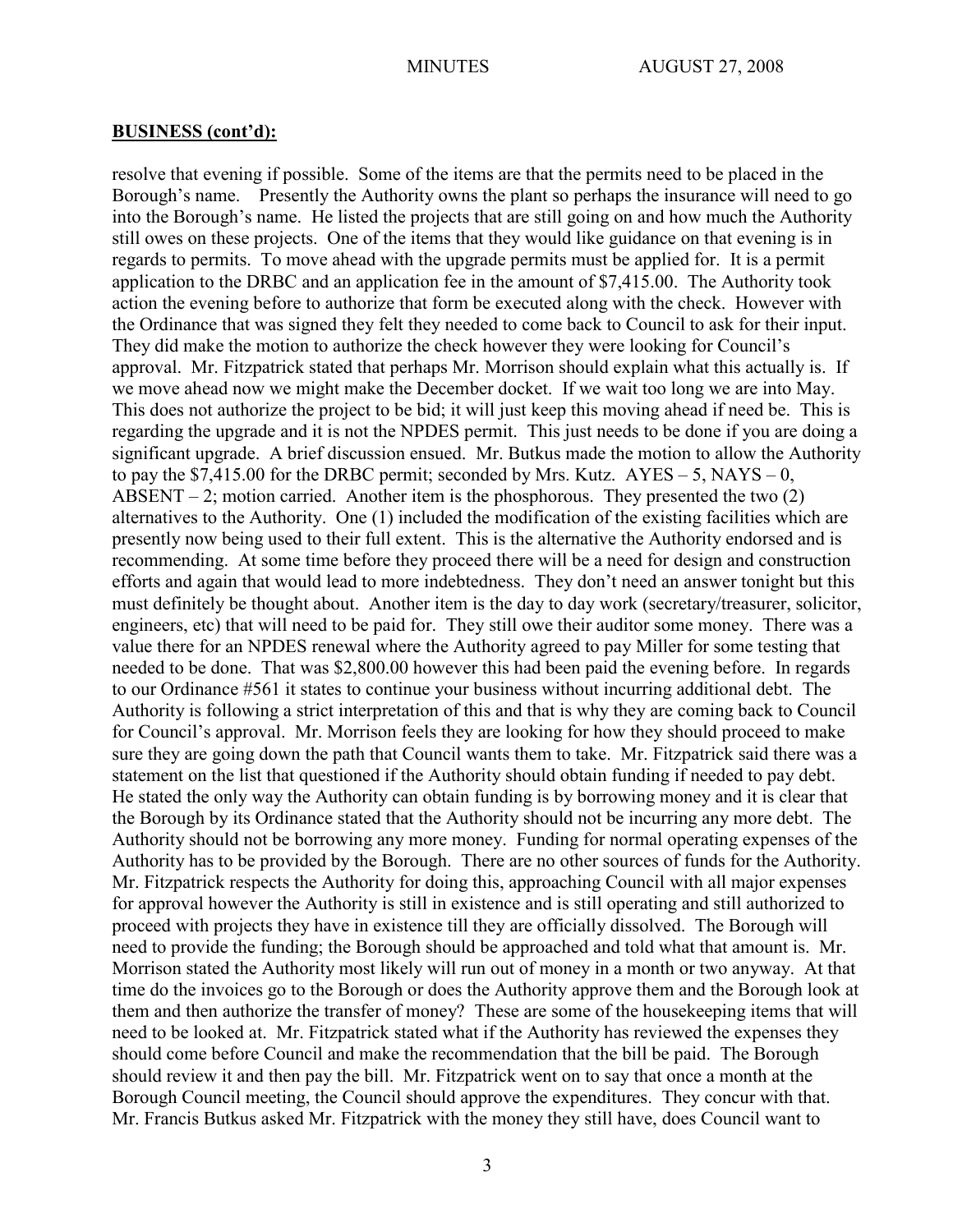resolve that evening if possible. Some of the items are that the permits need to be placed in the Borough's name. Presently the Authority owns the plant so perhaps the insurance will need to go into the Borough's name. He listed the projects that are still going on and how much the Authority still owes on these projects. One of the items that they would like guidance on that evening is in regards to permits. To move ahead with the upgrade permits must be applied for. It is a permit application to the DRBC and an application fee in the amount of \$7,415.00. The Authority took action the evening before to authorize that form be executed along with the check. However with the Ordinance that was signed they felt they needed to come back to Council to ask for their input. They did make the motion to authorize the check however they were looking for Council's approval. Mr. Fitzpatrick stated that perhaps Mr. Morrison should explain what this actually is. If we move ahead now we might make the December docket. If we wait too long we are into May. This does not authorize the project to be bid; it will just keep this moving ahead if need be. This is regarding the upgrade and it is not the NPDES permit. This just needs to be done if you are doing a significant upgrade. A brief discussion ensued. Mr. Butkus made the motion to allow the Authority to pay the  $$7,415.00$  for the DRBC permit; seconded by Mrs. Kutz.  $AYES - 5$ , NAYS – 0, ABSENT – 2; motion carried. Another item is the phosphorous. They presented the two  $(2)$ alternatives to the Authority. One (1) included the modification of the existing facilities which are presently now being used to their full extent. This is the alternative the Authority endorsed and is recommending. At some time before they proceed there will be a need for design and construction efforts and again that would lead to more indebtedness. They don't need an answer tonight but this must definitely be thought about. Another item is the day to day work (secretary/treasurer, solicitor, engineers, etc) that will need to be paid for. They still owe their auditor some money. There was a value there for an NPDES renewal where the Authority agreed to pay Miller for some testing that needed to be done. That was \$2,800.00 however this had been paid the evening before. In regards to our Ordinance #561 it states to continue your business without incurring additional debt. The Authority is following a strict interpretation of this and that is why they are coming back to Council for Council's approval. Mr. Morrison feels they are looking for how they should proceed to make sure they are going down the path that Council wants them to take. Mr. Fitzpatrick said there was a statement on the list that questioned if the Authority should obtain funding if needed to pay debt. He stated the only way the Authority can obtain funding is by borrowing money and it is clear that the Borough by its Ordinance stated that the Authority should not be incurring any more debt. The Authority should not be borrowing any more money. Funding for normal operating expenses of the Authority has to be provided by the Borough. There are no other sources of funds for the Authority. Mr. Fitzpatrick respects the Authority for doing this, approaching Council with all major expenses for approval however the Authority is still in existence and is still operating and still authorized to proceed with projects they have in existence till they are officially dissolved. The Borough will need to provide the funding; the Borough should be approached and told what that amount is. Mr. Morrison stated the Authority most likely will run out of money in a month or two anyway. At that time do the invoices go to the Borough or does the Authority approve them and the Borough look at them and then authorize the transfer of money? These are some of the housekeeping items that will need to be looked at. Mr. Fitzpatrick stated what if the Authority has reviewed the expenses they should come before Council and make the recommendation that the bill be paid. The Borough should review it and then pay the bill. Mr. Fitzpatrick went on to say that once a month at the Borough Council meeting, the Council should approve the expenditures. They concur with that. Mr. Francis Butkus asked Mr. Fitzpatrick with the money they still have, does Council want to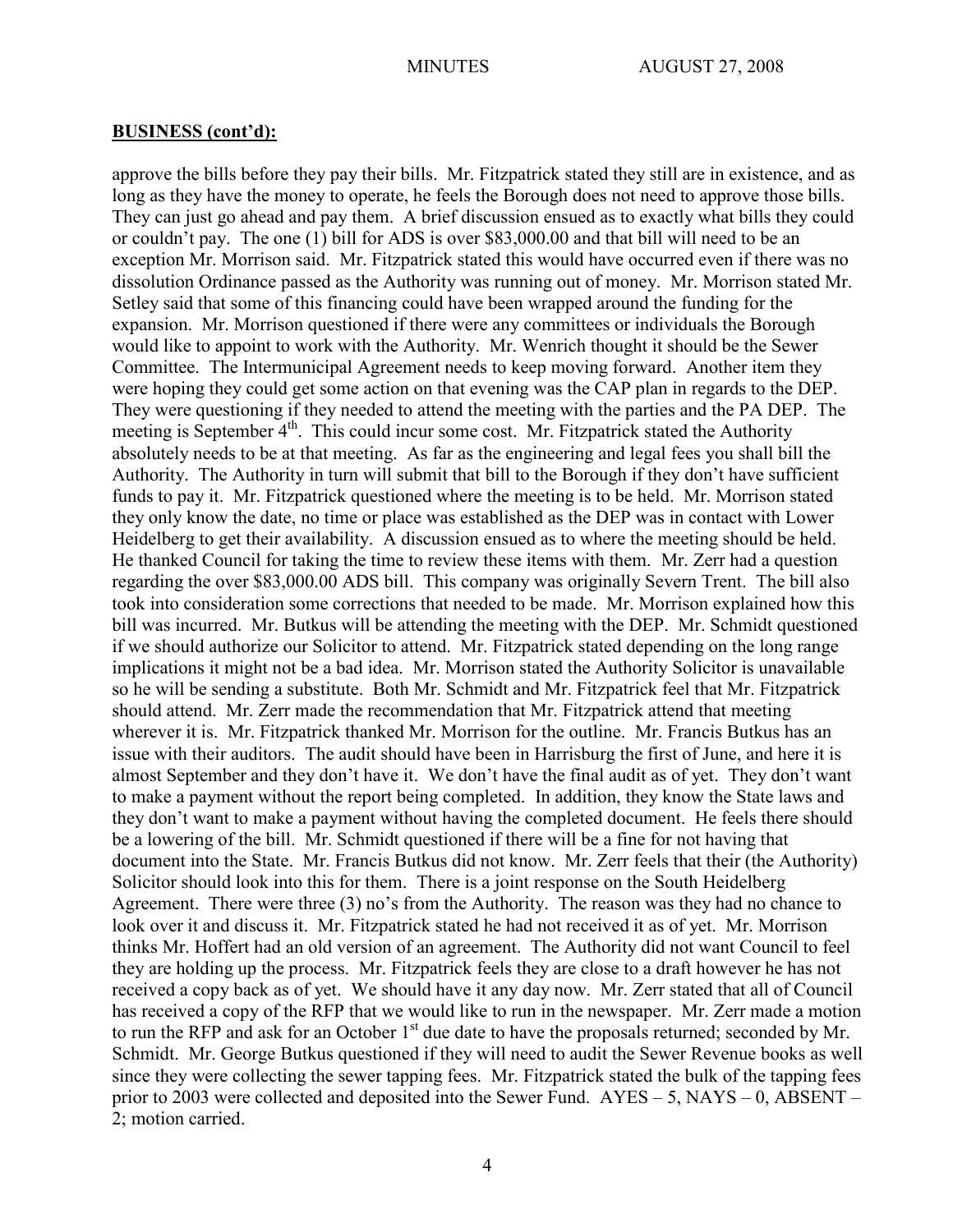approve the bills before they pay their bills. Mr. Fitzpatrick stated they still are in existence, and as long as they have the money to operate, he feels the Borough does not need to approve those bills. They can just go ahead and pay them. A brief discussion ensued as to exactly what bills they could or couldn't pay. The one (1) bill for ADS is over \$83,000.00 and that bill will need to be an exception Mr. Morrison said. Mr. Fitzpatrick stated this would have occurred even if there was no dissolution Ordinance passed as the Authority was running out of money. Mr. Morrison stated Mr. Setley said that some of this financing could have been wrapped around the funding for the expansion. Mr. Morrison questioned if there were any committees or individuals the Borough would like to appoint to work with the Authority. Mr. Wenrich thought it should be the Sewer Committee. The Intermunicipal Agreement needs to keep moving forward. Another item they were hoping they could get some action on that evening was the CAP plan in regards to the DEP. They were questioning if they needed to attend the meeting with the parties and the PA DEP. The meeting is September 4<sup>th</sup>. This could incur some cost. Mr. Fitzpatrick stated the Authority absolutely needs to be at that meeting. As far as the engineering and legal fees you shall bill the Authority. The Authority in turn will submit that bill to the Borough if they don't have sufficient funds to pay it. Mr. Fitzpatrick questioned where the meeting is to be held. Mr. Morrison stated they only know the date, no time or place was established as the DEP was in contact with Lower Heidelberg to get their availability. A discussion ensued as to where the meeting should be held. He thanked Council for taking the time to review these items with them. Mr. Zerr had a question regarding the over \$83,000.00 ADS bill. This company was originally Severn Trent. The bill also took into consideration some corrections that needed to be made. Mr. Morrison explained how this bill was incurred. Mr. Butkus will be attending the meeting with the DEP. Mr. Schmidt questioned if we should authorize our Solicitor to attend. Mr. Fitzpatrick stated depending on the long range implications it might not be a bad idea. Mr. Morrison stated the Authority Solicitor is unavailable so he will be sending a substitute. Both Mr. Schmidt and Mr. Fitzpatrick feel that Mr. Fitzpatrick should attend. Mr. Zerr made the recommendation that Mr. Fitzpatrick attend that meeting wherever it is. Mr. Fitzpatrick thanked Mr. Morrison for the outline. Mr. Francis Butkus has an issue with their auditors. The audit should have been in Harrisburg the first of June, and here it is almost September and they don't have it. We don't have the final audit as of yet. They don't want to make a payment without the report being completed. In addition, they know the State laws and they don't want to make a payment without having the completed document. He feels there should be a lowering of the bill. Mr. Schmidt questioned if there will be a fine for not having that document into the State. Mr. Francis Butkus did not know. Mr. Zerr feels that their (the Authority) Solicitor should look into this for them. There is a joint response on the South Heidelberg Agreement. There were three (3) no's from the Authority. The reason was they had no chance to look over it and discuss it. Mr. Fitzpatrick stated he had not received it as of yet. Mr. Morrison thinks Mr. Hoffert had an old version of an agreement. The Authority did not want Council to feel they are holding up the process. Mr. Fitzpatrick feels they are close to a draft however he has not received a copy back as of yet. We should have it any day now. Mr. Zerr stated that all of Council has received a copy of the RFP that we would like to run in the newspaper. Mr. Zerr made a motion to run the RFP and ask for an October 1<sup>st</sup> due date to have the proposals returned; seconded by Mr. Schmidt. Mr. George Butkus questioned if they will need to audit the Sewer Revenue books as well since they were collecting the sewer tapping fees. Mr. Fitzpatrick stated the bulk of the tapping fees prior to 2003 were collected and deposited into the Sewer Fund. AYES – 5, NAYS – 0, ABSENT – 2; motion carried.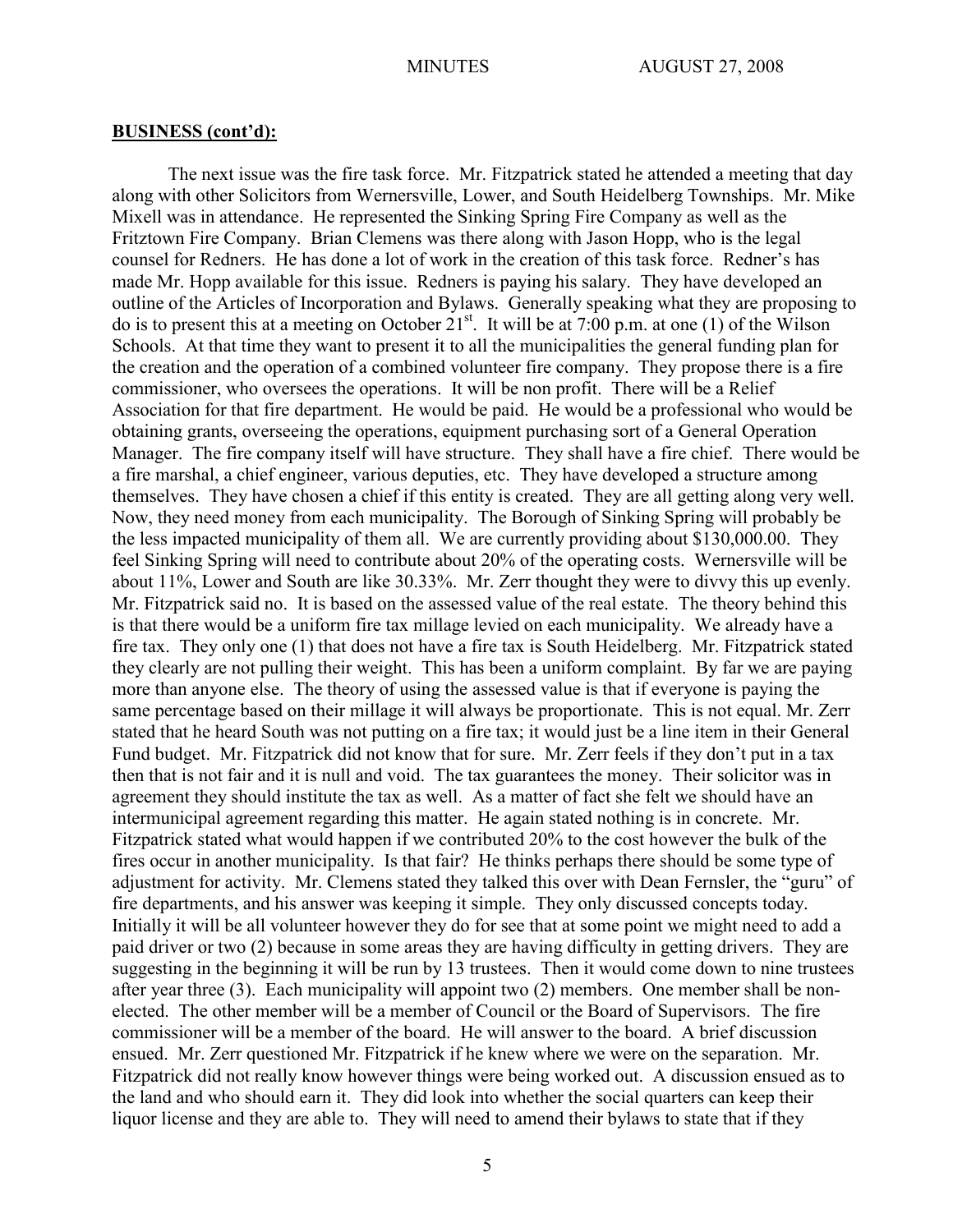The next issue was the fire task force. Mr. Fitzpatrick stated he attended a meeting that day along with other Solicitors from Wernersville, Lower, and South Heidelberg Townships. Mr. Mike Mixell was in attendance. He represented the Sinking Spring Fire Company as well as the Fritztown Fire Company. Brian Clemens was there along with Jason Hopp, who is the legal counsel for Redners. He has done a lot of work in the creation of this task force. Redner's has made Mr. Hopp available for this issue. Redners is paying his salary. They have developed an outline of the Articles of Incorporation and Bylaws. Generally speaking what they are proposing to do is to present this at a meeting on October  $21^{st}$ . It will be at 7:00 p.m. at one (1) of the Wilson Schools. At that time they want to present it to all the municipalities the general funding plan for the creation and the operation of a combined volunteer fire company. They propose there is a fire commissioner, who oversees the operations. It will be non profit. There will be a Relief Association for that fire department. He would be paid. He would be a professional who would be obtaining grants, overseeing the operations, equipment purchasing sort of a General Operation Manager. The fire company itself will have structure. They shall have a fire chief. There would be a fire marshal, a chief engineer, various deputies, etc. They have developed a structure among themselves. They have chosen a chief if this entity is created. They are all getting along very well. Now, they need money from each municipality. The Borough of Sinking Spring will probably be the less impacted municipality of them all. We are currently providing about \$130,000.00. They feel Sinking Spring will need to contribute about 20% of the operating costs. Wernersville will be about 11%, Lower and South are like 30.33%. Mr. Zerr thought they were to divvy this up evenly. Mr. Fitzpatrick said no. It is based on the assessed value of the real estate. The theory behind this is that there would be a uniform fire tax millage levied on each municipality. We already have a fire tax. They only one (1) that does not have a fire tax is South Heidelberg. Mr. Fitzpatrick stated they clearly are not pulling their weight. This has been a uniform complaint. By far we are paying more than anyone else. The theory of using the assessed value is that if everyone is paying the same percentage based on their millage it will always be proportionate. This is not equal. Mr. Zerr stated that he heard South was not putting on a fire tax; it would just be a line item in their General Fund budget. Mr. Fitzpatrick did not know that for sure. Mr. Zerr feels if they don't put in a tax then that is not fair and it is null and void. The tax guarantees the money. Their solicitor was in agreement they should institute the tax as well. As a matter of fact she felt we should have an intermunicipal agreement regarding this matter. He again stated nothing is in concrete. Mr. Fitzpatrick stated what would happen if we contributed 20% to the cost however the bulk of the fires occur in another municipality. Is that fair? He thinks perhaps there should be some type of adjustment for activity. Mr. Clemens stated they talked this over with Dean Fernsler, the "guru" of fire departments, and his answer was keeping it simple. They only discussed concepts today. Initially it will be all volunteer however they do for see that at some point we might need to add a paid driver or two (2) because in some areas they are having difficulty in getting drivers. They are suggesting in the beginning it will be run by 13 trustees. Then it would come down to nine trustees after year three (3). Each municipality will appoint two (2) members. One member shall be nonelected. The other member will be a member of Council or the Board of Supervisors. The fire commissioner will be a member of the board. He will answer to the board. A brief discussion ensued. Mr. Zerr questioned Mr. Fitzpatrick if he knew where we were on the separation. Mr. Fitzpatrick did not really know however things were being worked out. A discussion ensued as to the land and who should earn it. They did look into whether the social quarters can keep their liquor license and they are able to. They will need to amend their bylaws to state that if they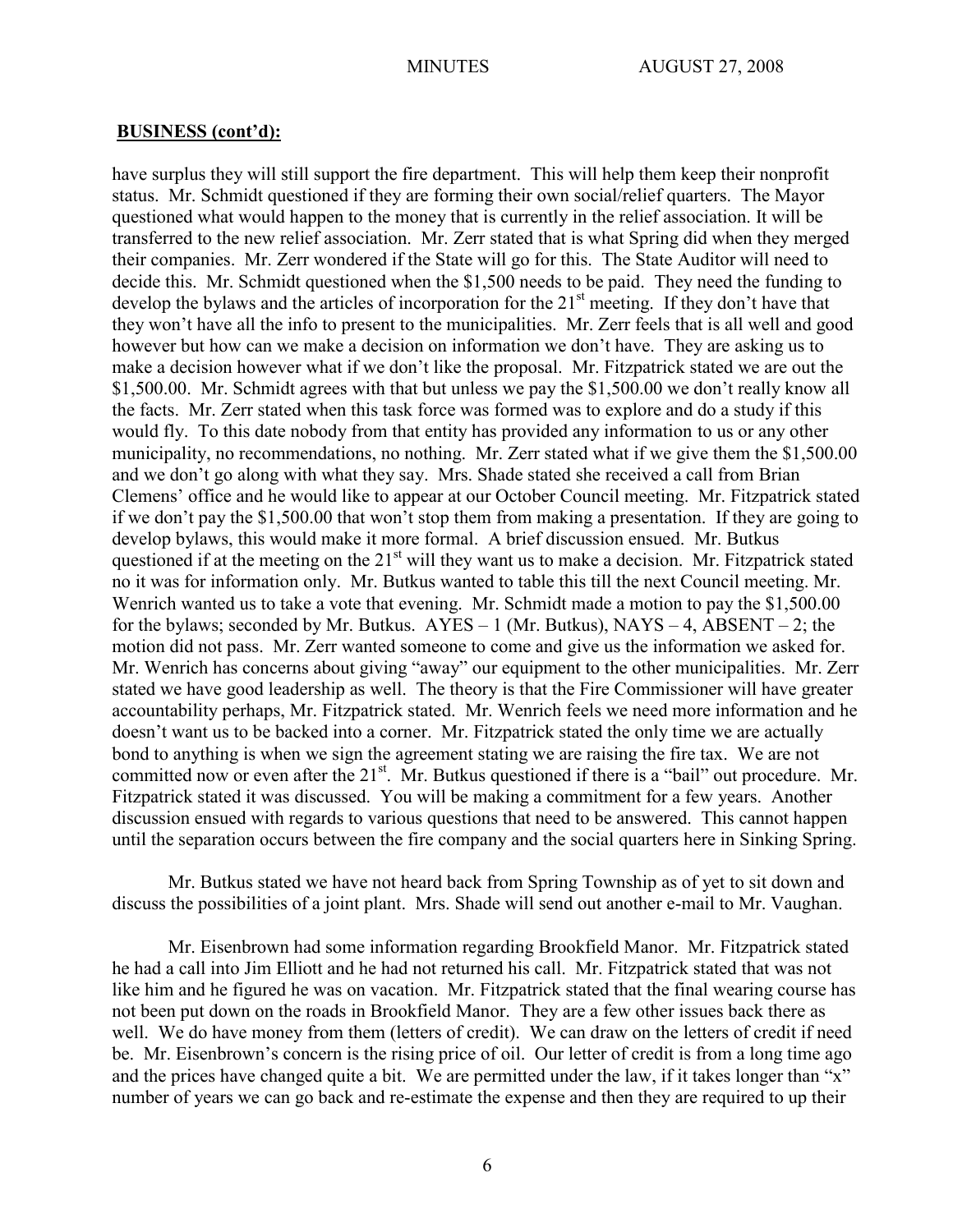have surplus they will still support the fire department. This will help them keep their nonprofit status. Mr. Schmidt questioned if they are forming their own social/relief quarters. The Mayor questioned what would happen to the money that is currently in the relief association. It will be transferred to the new relief association. Mr. Zerr stated that is what Spring did when they merged their companies. Mr. Zerr wondered if the State will go for this. The State Auditor will need to decide this. Mr. Schmidt questioned when the \$1,500 needs to be paid. They need the funding to develop the bylaws and the articles of incorporation for the  $21<sup>st</sup>$  meeting. If they don't have that they won't have all the info to present to the municipalities. Mr. Zerr feels that is all well and good however but how can we make a decision on information we don't have. They are asking us to make a decision however what if we don't like the proposal. Mr. Fitzpatrick stated we are out the \$1,500.00. Mr. Schmidt agrees with that but unless we pay the \$1,500.00 we don't really know all the facts. Mr. Zerr stated when this task force was formed was to explore and do a study if this would fly. To this date nobody from that entity has provided any information to us or any other municipality, no recommendations, no nothing. Mr. Zerr stated what if we give them the \$1,500.00 and we don't go along with what they say. Mrs. Shade stated she received a call from Brian Clemens' office and he would like to appear at our October Council meeting. Mr. Fitzpatrick stated if we don't pay the \$1,500.00 that won't stop them from making a presentation. If they are going to develop bylaws, this would make it more formal. A brief discussion ensued. Mr. Butkus questioned if at the meeting on the  $21<sup>st</sup>$  will they want us to make a decision. Mr. Fitzpatrick stated no it was for information only. Mr. Butkus wanted to table this till the next Council meeting. Mr. Wenrich wanted us to take a vote that evening. Mr. Schmidt made a motion to pay the \$1,500.00 for the bylaws; seconded by Mr. Butkus.  $AYES - 1$  (Mr. Butkus),  $NAYS - 4$ ,  $ABSENT - 2$ ; the motion did not pass. Mr. Zerr wanted someone to come and give us the information we asked for. Mr. Wenrich has concerns about giving "away" our equipment to the other municipalities. Mr. Zerr stated we have good leadership as well. The theory is that the Fire Commissioner will have greater accountability perhaps, Mr. Fitzpatrick stated. Mr. Wenrich feels we need more information and he doesn't want us to be backed into a corner. Mr. Fitzpatrick stated the only time we are actually bond to anything is when we sign the agreement stating we are raising the fire tax. We are not committed now or even after the 21<sup>st</sup>. Mr. Butkus questioned if there is a "bail" out procedure. Mr. Fitzpatrick stated it was discussed. You will be making a commitment for a few years. Another discussion ensued with regards to various questions that need to be answered. This cannot happen until the separation occurs between the fire company and the social quarters here in Sinking Spring.

Mr. Butkus stated we have not heard back from Spring Township as of yet to sit down and discuss the possibilities of a joint plant. Mrs. Shade will send out another e-mail to Mr. Vaughan.

Mr. Eisenbrown had some information regarding Brookfield Manor. Mr. Fitzpatrick stated he had a call into Jim Elliott and he had not returned his call. Mr. Fitzpatrick stated that was not like him and he figured he was on vacation. Mr. Fitzpatrick stated that the final wearing course has not been put down on the roads in Brookfield Manor. They are a few other issues back there as well. We do have money from them (letters of credit). We can draw on the letters of credit if need be. Mr. Eisenbrown's concern is the rising price of oil. Our letter of credit is from a long time ago and the prices have changed quite a bit. We are permitted under the law, if it takes longer than "x" number of years we can go back and re-estimate the expense and then they are required to up their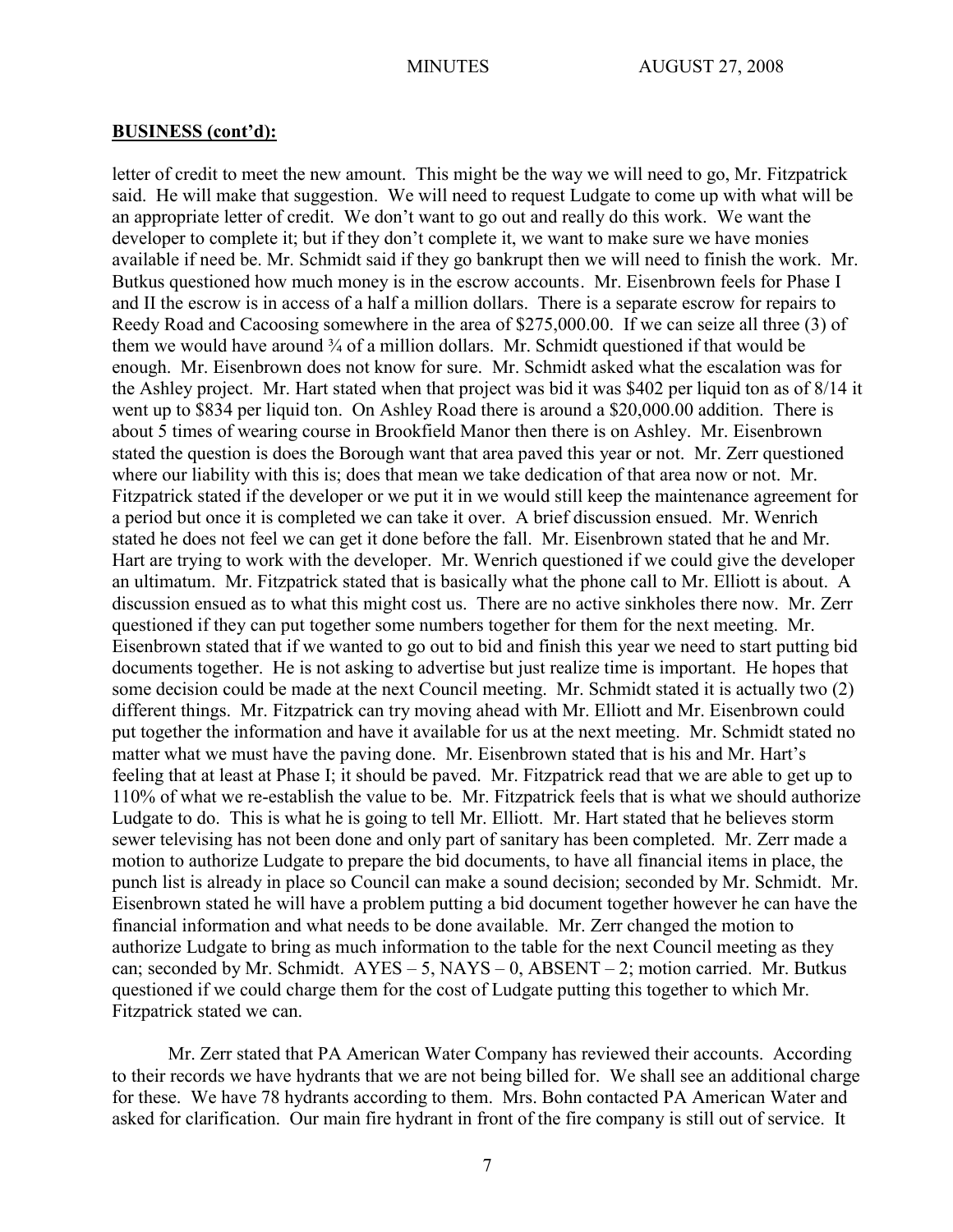letter of credit to meet the new amount. This might be the way we will need to go, Mr. Fitzpatrick said. He will make that suggestion. We will need to request Ludgate to come up with what will be an appropriate letter of credit. We don't want to go out and really do this work. We want the developer to complete it; but if they don't complete it, we want to make sure we have monies available if need be. Mr. Schmidt said if they go bankrupt then we will need to finish the work. Mr. Butkus questioned how much money is in the escrow accounts. Mr. Eisenbrown feels for Phase I and II the escrow is in access of a half a million dollars. There is a separate escrow for repairs to Reedy Road and Cacoosing somewhere in the area of \$275,000.00. If we can seize all three (3) of them we would have around <sup>3</sup>/4 of a million dollars. Mr. Schmidt questioned if that would be enough. Mr. Eisenbrown does not know for sure. Mr. Schmidt asked what the escalation was for the Ashley project. Mr. Hart stated when that project was bid it was \$402 per liquid ton as of 8/14 it went up to \$834 per liquid ton. On Ashley Road there is around a \$20,000.00 addition. There is about 5 times of wearing course in Brookfield Manor then there is on Ashley. Mr. Eisenbrown stated the question is does the Borough want that area paved this year or not. Mr. Zerr questioned where our liability with this is; does that mean we take dedication of that area now or not. Mr. Fitzpatrick stated if the developer or we put it in we would still keep the maintenance agreement for a period but once it is completed we can take it over. A brief discussion ensued. Mr. Wenrich stated he does not feel we can get it done before the fall. Mr. Eisenbrown stated that he and Mr. Hart are trying to work with the developer. Mr. Wenrich questioned if we could give the developer an ultimatum. Mr. Fitzpatrick stated that is basically what the phone call to Mr. Elliott is about. A discussion ensued as to what this might cost us. There are no active sinkholes there now. Mr. Zerr questioned if they can put together some numbers together for them for the next meeting. Mr. Eisenbrown stated that if we wanted to go out to bid and finish this year we need to start putting bid documents together. He is not asking to advertise but just realize time is important. He hopes that some decision could be made at the next Council meeting. Mr. Schmidt stated it is actually two (2) different things. Mr. Fitzpatrick can try moving ahead with Mr. Elliott and Mr. Eisenbrown could put together the information and have it available for us at the next meeting. Mr. Schmidt stated no matter what we must have the paving done. Mr. Eisenbrown stated that is his and Mr. Hart's feeling that at least at Phase I; it should be paved. Mr. Fitzpatrick read that we are able to get up to 110% of what we re-establish the value to be. Mr. Fitzpatrick feels that is what we should authorize Ludgate to do. This is what he is going to tell Mr. Elliott. Mr. Hart stated that he believes storm sewer televising has not been done and only part of sanitary has been completed. Mr. Zerr made a motion to authorize Ludgate to prepare the bid documents, to have all financial items in place, the punch list is already in place so Council can make a sound decision; seconded by Mr. Schmidt. Mr. Eisenbrown stated he will have a problem putting a bid document together however he can have the financial information and what needs to be done available. Mr. Zerr changed the motion to authorize Ludgate to bring as much information to the table for the next Council meeting as they can; seconded by Mr. Schmidt. AYES – 5, NAYS – 0, ABSENT – 2; motion carried. Mr. Butkus questioned if we could charge them for the cost of Ludgate putting this together to which Mr. Fitzpatrick stated we can.

Mr. Zerr stated that PA American Water Company has reviewed their accounts. According to their records we have hydrants that we are not being billed for. We shall see an additional charge for these. We have 78 hydrants according to them. Mrs. Bohn contacted PA American Water and asked for clarification. Our main fire hydrant in front of the fire company is still out of service. It